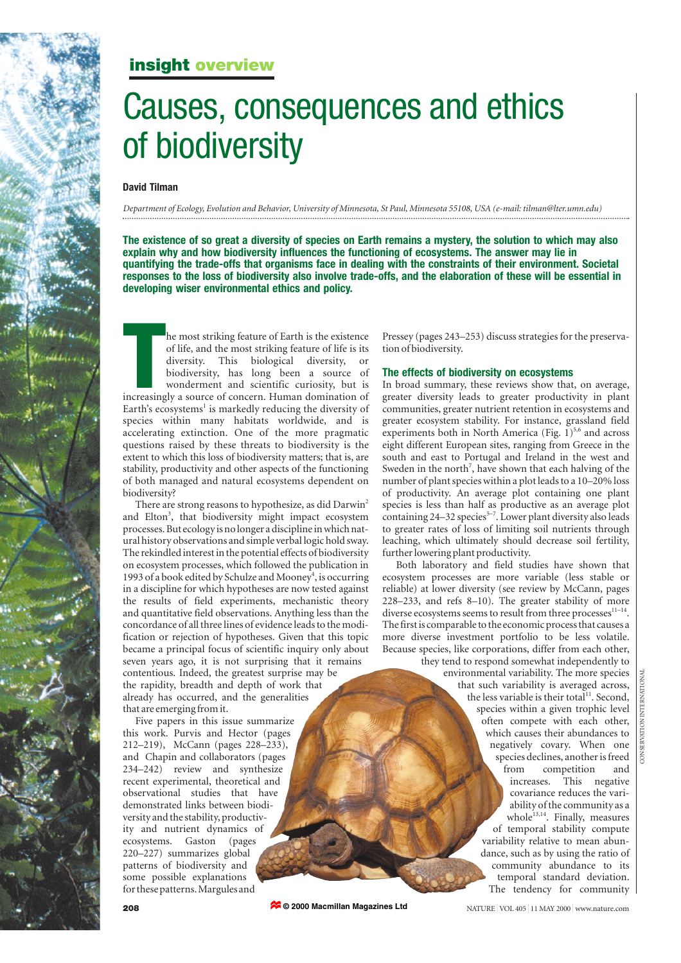# Causes, consequences and ethics of biodiversity

#### **David Tilman**

*Department of Ecology, Evolution and Behavior, University of Minnesota, St Paul, Minnesota 55108, USA (e-mail: tilman@lter.umn.edu)*

**The existence of so great a diversity of species on Earth remains a mystery, the solution to which may also explain why and how biodiversity influences the functioning of ecosystems. The answer may lie in quantifying the trade-offs that organisms face in dealing with the constraints of their environment. Societal responses to the loss of biodiversity also involve trade-offs, and the elaboration of these will be essential in developing wiser environmental ethics and policy.** 

**THE MANUS TRANSIST CONCRETERTM**<br>
Increasingly a source of concern. Human domination of<br>
increasingly a source of concern. Human domination of<br> **THE MANUS CONCRETERTM**<br>
Increasingly a source of concern. Human domination of he most striking feature of Earth is the existence of life, and the most striking feature of life is its diversity. This biological diversity, or biodiversity, has long been a source of wonderment and scientific curiosity, but is Earth's ecosystems<sup>1</sup> is markedly reducing the diversity of species within many habitats worldwide, and is accelerating extinction. One of the more pragmatic questions raised by these threats to biodiversity is the extent to which this loss of biodiversity matters; that is, are stability, productivity and other aspects of the functioning of both managed and natural ecosystems dependent on biodiversity?

There are strong reasons to hypothesize, as did Darwin<sup>2</sup> and Elton<sup>3</sup>, that biodiversity might impact ecosystem processes. But ecology is no longer a discipline in which natural history observations and simple verbal logic hold sway. The rekindled interest in the potential effects of biodiversity on ecosystem processes, which followed the publication in 1993 of a book edited by Schulze and Mooney<sup>4</sup>, is occurring in a discipline for which hypotheses are now tested against the results of field experiments, mechanistic theory and quantitative field observations. Anything less than the concordance of all three lines of evidence leads to the modification or rejection of hypotheses. Given that this topic became a principal focus of scientific inquiry only about seven years ago, it is not surprising that it remains contentious. Indeed, the greatest surprise may be the rapidity, breadth and depth of work that already has occurred, and the generalities that are emerging from it.

Five papers in this issue summarize this work. Purvis and Hector (pages 212–219), McCann (pages 228–233), and Chapin and collaborators (pages 234–242) review and synthesize recent experimental, theoretical and observational studies that have demonstrated links between biodiversity and the stability, productivity and nutrient dynamics of ecosystems. Gaston (pages 220–227) summarizes global patterns of biodiversity and some possible explanations for these patterns. Margules and

Pressey (pages 243–253) discuss strategies for the preservation of biodiversity.

#### **The effects of biodiversity on ecosystems**

In broad summary, these reviews show that, on average, greater diversity leads to greater productivity in plant communities, greater nutrient retention in ecosystems and greater ecosystem stability. For instance, grassland field experiments both in North America (Fig.  $1$ )<sup>5,6</sup> and across eight different European sites, ranging from Greece in the south and east to Portugal and Ireland in the west and Sweden in the north<sup>7</sup>, have shown that each halving of the number of plant species within a plot leads to a 10–20% loss of productivity. An average plot containing one plant species is less than half as productive as an average plot containing  $24-32$  species<sup>5-7</sup>. Lower plant diversity also leads to greater rates of loss of limiting soil nutrients through leaching, which ultimately should decrease soil fertility, further lowering plant productivity.

Both laboratory and field studies have shown that ecosystem processes are more variable (less stable or reliable) at lower diversity (see review by McCann, pages 228–233, and refs 8–10). The greater stability of more diverse ecosystems seems to result from three processes $^{11-14}$ . The first is comparable to the economic process that causes a more diverse investment portfolio to be less volatile. Because species, like corporations, differ from each other, they tend to respond somewhat independently to

environmental variability. The more species that such variability is averaged across, the less variable is their total<sup>11</sup>. Second, species within a given trophic level often compete with each other, which causes their abundances to negatively covary. When one species declines, another is freed from competition and increases. This negative covariance reduces the variability of the community as a whole $^{13,14}$ . Finally, measures of temporal stability compute variability relative to mean abundance, such as by using the ratio of community abundance to its temporal standard deviation. The tendency for community

**208 11 MAY 2000 Macmillan Magazines Ltd NATURE** VOL 405 | 11 MAY 2000 | www.nature.com **© 2000 Macmillan Magazines Ltd**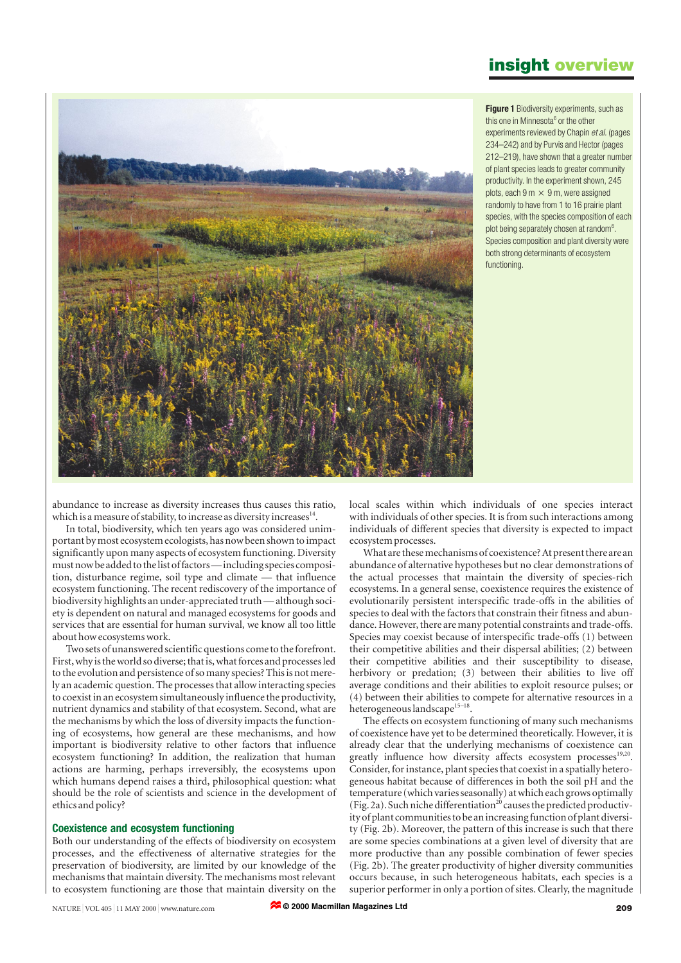

**Figure 1** Biodiversity experiments, such as this one in Minnesota<sup>6</sup> or the other experiments reviewed by Chapin et al. (pages 234–242) and by Purvis and Hector (pages 212–219), have shown that a greater number of plant species leads to greater community productivity. In the experiment shown, 245 plots, each  $9 \text{ m} \times 9 \text{ m}$ , were assigned randomly to have from 1 to 16 prairie plant species, with the species composition of each plot being separately chosen at random<sup>6</sup>. Species composition and plant diversity were both strong determinants of ecosystem functioning.

abundance to increase as diversity increases thus causes this ratio, which is a measure of stability, to increase as diversity increases $14$ .

In total, biodiversity, which ten years ago was considered unimportant by most ecosystem ecologists, has now been shown to impact significantly upon many aspects of ecosystem functioning. Diversity must now be added to the list of factors — including species composition, disturbance regime, soil type and climate — that influence ecosystem functioning. The recent rediscovery of the importance of biodiversity highlights an under-appreciated truth — although society is dependent on natural and managed ecosystems for goods and services that are essential for human survival, we know all too little about how ecosystems work.

Two sets of unanswered scientific questions come to the forefront. First, why is the world so diverse; that is, what forces and processes led to the evolution and persistence of so many species? This is not merely an academic question. The processes that allow interacting species to coexist in an ecosystem simultaneously influence the productivity, nutrient dynamics and stability of that ecosystem. Second, what are the mechanisms by which the loss of diversity impacts the functioning of ecosystems, how general are these mechanisms, and how important is biodiversity relative to other factors that influence ecosystem functioning? In addition, the realization that human actions are harming, perhaps irreversibly, the ecosystems upon which humans depend raises a third, philosophical question: what should be the role of scientists and science in the development of ethics and policy?

#### **Coexistence and ecosystem functioning**

Both our understanding of the effects of biodiversity on ecosystem processes, and the effectiveness of alternative strategies for the preservation of biodiversity, are limited by our knowledge of the mechanisms that maintain diversity. The mechanisms most relevant to ecosystem functioning are those that maintain diversity on the local scales within which individuals of one species interact with individuals of other species. It is from such interactions among individuals of different species that diversity is expected to impact ecosystem processes.

What are these mechanisms of coexistence? At present there are an abundance of alternative hypotheses but no clear demonstrations of the actual processes that maintain the diversity of species-rich ecosystems. In a general sense, coexistence requires the existence of evolutionarily persistent interspecific trade-offs in the abilities of species to deal with the factors that constrain their fitness and abundance. However, there are many potential constraints and trade-offs. Species may coexist because of interspecific trade-offs (1) between their competitive abilities and their dispersal abilities; (2) between their competitive abilities and their susceptibility to disease, herbivory or predation; (3) between their abilities to live off average conditions and their abilities to exploit resource pulses; or (4) between their abilities to compete for alternative resources in a heterogeneous landscape $15-18$ .

The effects on ecosystem functioning of many such mechanisms of coexistence have yet to be determined theoretically. However, it is already clear that the underlying mechanisms of coexistence can greatly influence how diversity affects ecosystem processes<sup>19,20</sup>. Consider, for instance, plant species that coexist in a spatially heterogeneous habitat because of differences in both the soil pH and the temperature (which varies seasonally) at which each grows optimally (Fig. 2a). Such niche differentiation<sup>20</sup> causes the predicted productivity of plant communities to be an increasing function of plant diversity (Fig. 2b). Moreover, the pattern of this increase is such that there are some species combinations at a given level of diversity that are more productive than any possible combination of fewer species (Fig. 2b). The greater productivity of higher diversity communities occurs because, in such heterogeneous habitats, each species is a superior performer in only a portion of sites. Clearly, the magnitude

**© 2000 Macmillan Magazines Ltd**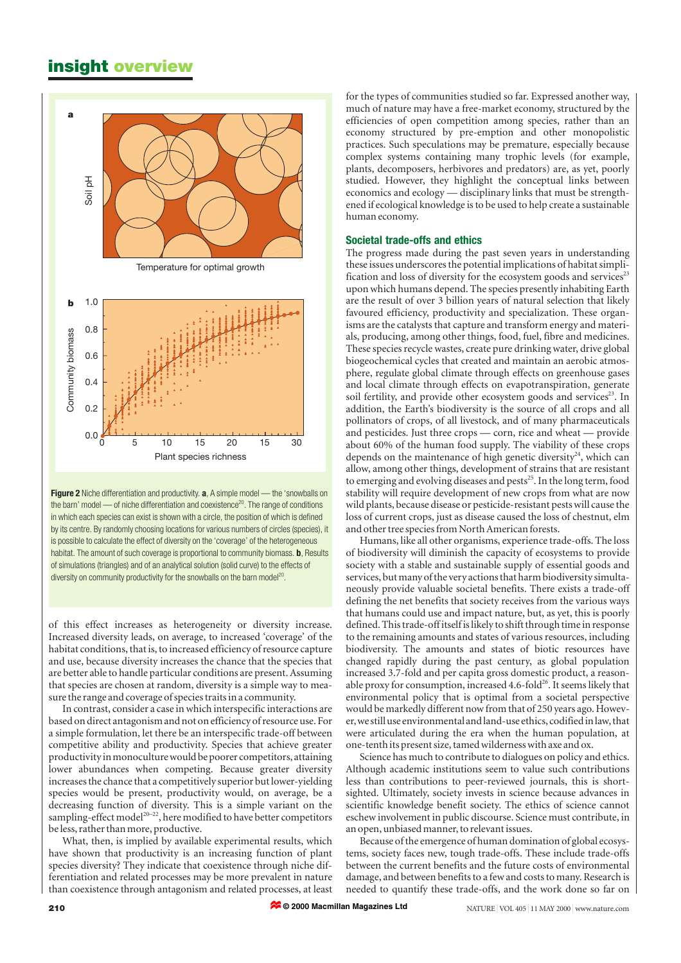



**Figure 2** Niche differentiation and productivity. **a**, A simple model — the 'snowballs on the barn' model — of niche differentiation and coexistence<sup>20</sup>. The range of conditions in which each species can exist is shown with a circle, the position of which is defined by its centre. By randomly choosing locations for various numbers of circles (species), it is possible to calculate the effect of diversity on the 'coverage' of the heterogeneous habitat. The amount of such coverage is proportional to community biomass. **b**, Results of simulations (triangles) and of an analytical solution (solid curve) to the effects of diversity on community productivity for the snowballs on the barn model<sup>20</sup>

of this effect increases as heterogeneity or diversity increase. Increased diversity leads, on average, to increased 'coverage' of the habitat conditions, that is, to increased efficiency of resource capture and use, because diversity increases the chance that the species that are better able to handle particular conditions are present. Assuming that species are chosen at random, diversity is a simple way to measure the range and coverage of species traits in a community.

In contrast, consider a case in which interspecific interactions are based on direct antagonism and not on efficiency of resource use. For a simple formulation, let there be an interspecific trade-off between competitive ability and productivity. Species that achieve greater productivity in monoculture would be poorer competitors, attaining lower abundances when competing. Because greater diversity increases the chance that a competitively superior but lower-yielding species would be present, productivity would, on average, be a decreasing function of diversity. This is a simple variant on the sampling-effect model<sup>20-22</sup>, here modified to have better competitors be less, rather than more, productive.

What, then, is implied by available experimental results, which have shown that productivity is an increasing function of plant species diversity? They indicate that coexistence through niche differentiation and related processes may be more prevalent in nature than coexistence through antagonism and related processes, at least for the types of communities studied so far. Expressed another way, much of nature may have a free-market economy, structured by the efficiencies of open competition among species, rather than an economy structured by pre-emption and other monopolistic practices. Such speculations may be premature, especially because complex systems containing many trophic levels (for example, plants, decomposers, herbivores and predators) are, as yet, poorly studied. However, they highlight the conceptual links between economics and ecology — disciplinary links that must be strengthened if ecological knowledge is to be used to help create a sustainable human economy.

#### **Societal trade-offs and ethics**

The progress made during the past seven years in understanding these issues underscores the potential implications of habitat simplification and loss of diversity for the ecosystem goods and services<sup>2</sup> upon which humans depend. The species presently inhabiting Earth are the result of over 3 billion years of natural selection that likely favoured efficiency, productivity and specialization. These organisms are the catalysts that capture and transform energy and materials, producing, among other things, food, fuel, fibre and medicines. These species recycle wastes, create pure drinking water, drive global biogeochemical cycles that created and maintain an aerobic atmosphere, regulate global climate through effects on greenhouse gases and local climate through effects on evapotranspiration, generate soil fertility, and provide other ecosystem goods and services $23$ . In addition, the Earth's biodiversity is the source of all crops and all pollinators of crops, of all livestock, and of many pharmaceuticals and pesticides. Just three crops — corn, rice and wheat — provide about 60% of the human food supply. The viability of these crops depends on the maintenance of high genetic diversity<sup>24</sup>, which can allow, among other things, development of strains that are resistant to emerging and evolving diseases and pests<sup>25</sup>. In the long term, food stability will require development of new crops from what are now wild plants, because disease or pesticide-resistant pests will cause the loss of current crops, just as disease caused the loss of chestnut, elm and other tree species from North American forests.

Humans, like all other organisms, experience trade-offs. The loss of biodiversity will diminish the capacity of ecosystems to provide society with a stable and sustainable supply of essential goods and services, but many of the very actions that harm biodiversity simultaneously provide valuable societal benefits. There exists a trade-off defining the net benefits that society receives from the various ways that humans could use and impact nature, but, as yet, this is poorly defined. This trade-off itself is likely to shift through time in response to the remaining amounts and states of various resources, including biodiversity. The amounts and states of biotic resources have changed rapidly during the past century, as global population increased 3.7-fold and per capita gross domestic product, a reasonable proxy for consumption, increased 4.6-fold<sup>26</sup>. It seems likely that environmental policy that is optimal from a societal perspective would be markedly different now from that of 250 years ago. However, we still use environmental and land-use ethics, codified in law, that were articulated during the era when the human population, at one-tenth its present size, tamed wilderness with axe and ox.

Science has much to contribute to dialogues on policy and ethics. Although academic institutions seem to value such contributions less than contributions to peer-reviewed journals, this is shortsighted. Ultimately, society invests in science because advances in scientific knowledge benefit society. The ethics of science cannot eschew involvement in public discourse. Science must contribute, in an open, unbiased manner, to relevant issues.

Because of the emergence of human domination of global ecosystems, society faces new, tough trade-offs. These include trade-offs between the current benefits and the future costs of environmental damage, and between benefits to a few and costs to many. Research is needed to quantify these trade-offs, and the work done so far on